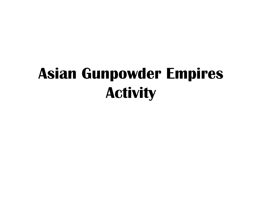# **Asian Gunpowder Empires Activity**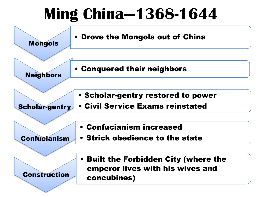## **Ming China—1368-1644**

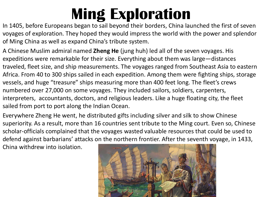# **Ming Exploration**

In 1405, before Europeans began to sail beyond their borders, China launched the first of seven voyages of exploration. They hoped they would impress the world with the power and splendor of Ming China as well as expand China's tribute system.

A Chinese Muslim admiral named **Zheng He** (jung huh) led all of the seven voyages. His expeditions were remarkable for their size. Everything about them was large—distances traveled, fleet size, and ship measurements. The voyages ranged from Southeast Asia to eastern Africa. From 40 to 300 ships sailed in each expedition. Among them were fighting ships, storage vessels, and huge "treasure" ships measuring more than 400 feet long. The fleet's crews numbered over 27,000 on some voyages. They included sailors, soldiers, carpenters, interpreters, accountants, doctors, and religious leaders. Like a huge floating city, the fleet sailed from port to port along the Indian Ocean.

Everywhere Zheng He went, he distributed gifts including silver and silk to show Chinese superiority. As a result, more than 16 countries sent tribute to the Ming court. Even so, Chinese scholar-officials complained that the voyages wasted valuable resources that could be used to defend against barbarians' attacks on the northern frontier. After the seventh voyage, in 1433,

China withdrew into isolation.

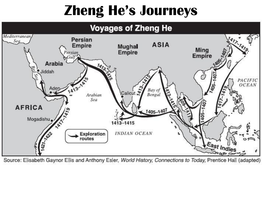#### **Zheng He's Journeys**



Source: Elisabeth Gaynor Ellis and Anthony Esler, World History, Connections to Today, Prentice Hall (adapted)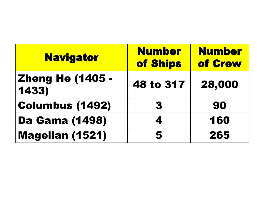| <b>Navigator</b>                 | <b>Number</b><br>of Ships | <b>Number</b><br>of Crew |
|----------------------------------|---------------------------|--------------------------|
| <b>Zheng He (1405 -</b><br>1433) | 48 to 317                 | 28,000                   |
| <b>Columbus (1492)</b>           | 3                         | 90                       |
| <b>Da Gama (1498)</b>            | 4                         | 160                      |
| <b>Magellan (1521)</b>           | 5                         | 265                      |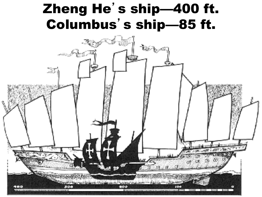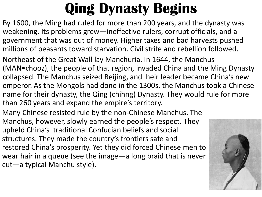#### **Qing Dynasty Begins**

- By 1600, the Ming had ruled for more than 200 years, and the dynasty was weakening. Its problems grew—ineffective rulers, corrupt officials, and a government that was out of money. Higher taxes and bad harvests pushed millions of peasants toward starvation. Civil strife and rebellion followed.
- Northeast of the Great Wall lay Manchuria. In 1644, the Manchus (MAN•chooz), the people of that region, invaded China and the Ming Dynasty collapsed. The Manchus seized Beijing, and heir leader became China's new emperor. As the Mongols had done in the 1300s, the Manchus took a Chinese name for their dynasty, the Qing (chihng) Dynasty. They would rule for more than 260 years and expand the empire's territory.
- Many Chinese resisted rule by the non-Chinese Manchus. The Manchus, however, slowly earned the people's respect. They upheld China's traditional Confucian beliefs and social structures. They made the country's frontiers safe and restored China's prosperity. Yet they did forced Chinese men to wear hair in a queue (see the image—a long braid that is never cut—a typical Manchu style).

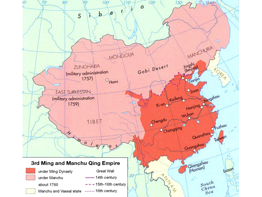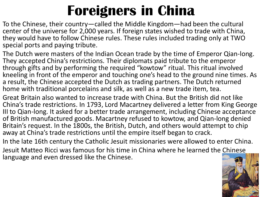#### **Foreigners in China**

To the Chinese, their country—called the Middle Kingdom—had been the cultural center of the universe for 2,000 years. If foreign states wished to trade with China, they would have to follow Chinese rules. These rules included trading only at TWO special ports and paying tribute.

The Dutch were masters of the Indian Ocean trade by the time of Emperor Qian-long. They accepted China's restrictions. Their diplomats paid tribute to the emperor through gifts and by performing the required "kowtow" ritual. This ritual involved kneeling in front of the emperor and touching one's head to the ground nine times. As a result, the Chinese accepted the Dutch as trading partners. The Dutch returned home with traditional porcelains and silk, as well as a new trade item, tea.

Great Britain also wanted to increase trade with China. But the British did not like China's trade restrictions. In 1793, Lord Macartney delivered a letter from King George III to Qian-long. It asked for a better trade arrangement, including Chinese acceptance of British manufactured goods. Macartney refused to kowtow, and Qian-long denied Britain's request. In the 1800s, the British, Dutch, and others would attempt to chip away at China's trade restrictions until the empire itself began to crack.

In the late 16th century the Catholic Jesuit missionaries were allowed to enter China.

Jesuit Matteo Ricci was famous for his time in China where he learned the Chinese language and even dressed like the Chinese.

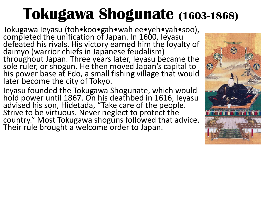## **Tokugawa Shogunate (1603-1868)**

Tokugawa Ieyasu (toh•koo•gah•wah ee•yeh•yah•soo), completed the unification of Japan. In 1600, Ieyasu defeated his rivals. His victory earned him the loyalty of daimyo (warrior chiefs in Japanese feudalism) throughout Japan. Three years later, leyasu became the sole ruler, or shogun. He then moved Japan's capital to his power base at Edo, a small fishing village that would later become the city of Tokyo.

Ieyasu founded the Tokugawa Shogunate, which would hold power until 1867. On his deathbed in 1616, Ieyasu advised his son, Hidetada, "Take care of the people. Strive to be virtuous. Never neglect to protect the country." Most Tokugawa shoguns followed that advice. Their rule brought a welcome order to Japan.

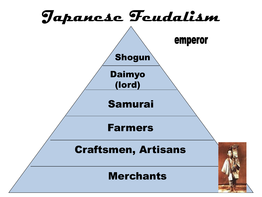